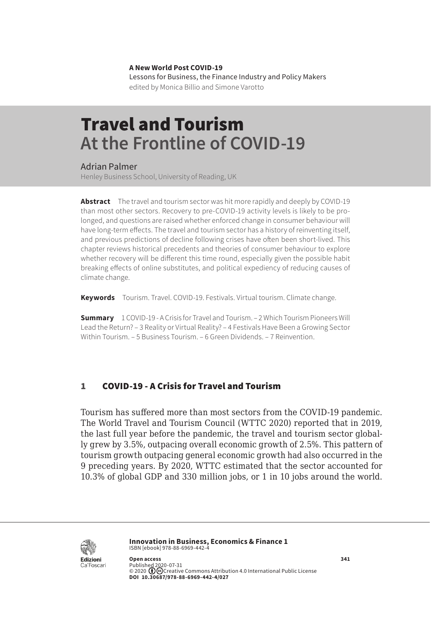**A New World Post COVID-19** Lessons for Business, the Finance Industry and Policy Makers edited by Monica Billio and Simone Varotto

# Travel and Tourism **At the Frontline of COVID-19**

#### Adrian Palmer

Henley Business School, University of Reading, UK

**Abstract** The travel and tourism sector was hit more rapidly and deeply by COVID-19 than most other sectors. Recovery to pre-COVID-19 activity levels is likely to be prolonged, and questions are raised whether enforced change in consumer behaviour will have long-term effects. The travel and tourism sector has a history of reinventing itself, and previous predictions of decline following crises have often been short-lived. This chapter reviews historical precedents and theories of consumer behaviour to explore whether recovery will be different this time round, especially given the possible habit breaking effects of online substitutes, and political expediency of reducing causes of climate change.

**Keywords** Tourism. Travel. COVID-19. Festivals. Virtual tourism. Climate change.

**Summary** 1 COVID-19 - A Crisis for Travel and Tourism. – [2 Which Tourism Pioneers Will](#page-2-0)  [Lead the Return?](#page-2-0) – [3 Reality or Virtual Reality?](#page-2-0) – [4 Festivals Have Been a Growing Sector](#page-3-0)  [Within Tourism.](#page-3-0) – [5 Business Tourism.](#page-4-0) – [6 Green Dividends.](#page-5-0) – [7 Reinvention.](#page-6-0)

### 1 COVID-19 - A Crisis for Travel and Tourism

Tourism has suffered more than most sectors from the COVID-19 pandemic. The World Travel and Tourism Council (WTTC 2020) reported that in 2019, the last full year before the pandemic, the travel and tourism sector globally grew by 3.5%, outpacing overall economic growth of 2.5%. This pattern of tourism growth outpacing general economic growth had also occurred in the 9 preceding years. By 2020, WTTC estimated that the sector accounted for 10.3% of global GDP and 330 million jobs, or 1 in 10 jobs around the world.



**Innovation in Business, Economics & Finance 1** ISBN [ebook] 978-88-6969-442-4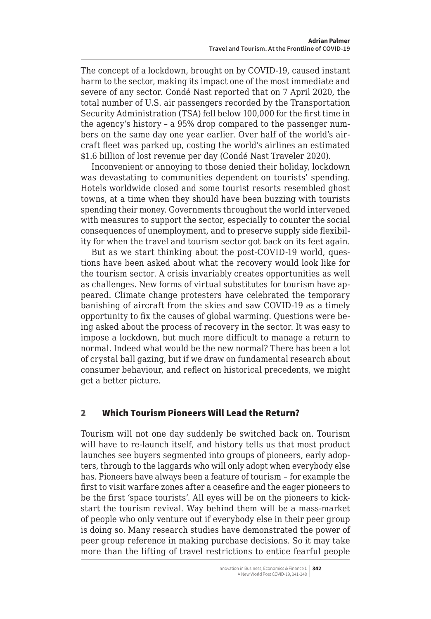The concept of a lockdown, brought on by COVID-19, caused instant harm to the sector, making its impact one of the most immediate and severe of any sector. Condé Nast reported that on 7 April 2020, the total number of U.S. air passengers recorded by the Transportation Security Administration (TSA) fell below 100,000 for the first time in the agency's history – a 95% drop compared to the passenger numbers on the same day one year earlier. Over half of the world's aircraft fleet was parked up, costing the world's airlines an estimated \$1.6 billion of lost revenue per day (Condé Nast Traveler 2020).

Inconvenient or annoying to those denied their holiday, lockdown was devastating to communities dependent on tourists' spending. Hotels worldwide closed and some tourist resorts resembled ghost towns, at a time when they should have been buzzing with tourists spending their money. Governments throughout the world intervened with measures to support the sector, especially to counter the social consequences of unemployment, and to preserve supply side flexibility for when the travel and tourism sector got back on its feet again.

But as we start thinking about the post-COVID-19 world, questions have been asked about what the recovery would look like for the tourism sector. A crisis invariably creates opportunities as well as challenges. New forms of virtual substitutes for tourism have appeared. Climate change protesters have celebrated the temporary banishing of aircraft from the skies and saw COVID-19 as a timely opportunity to fix the causes of global warming. Questions were being asked about the process of recovery in the sector. It was easy to impose a lockdown, but much more difficult to manage a return to normal. Indeed what would be the new normal? There has been a lot of crystal ball gazing, but if we draw on fundamental research about consumer behaviour, and reflect on historical precedents, we might get a better picture.

### 2 Which Tourism Pioneers Will Lead the Return?

Tourism will not one day suddenly be switched back on. Tourism will have to re-launch itself, and history tells us that most product launches see buyers segmented into groups of pioneers, early adopters, through to the laggards who will only adopt when everybody else has. Pioneers have always been a feature of tourism – for example the first to visit warfare zones after a ceasefire and the eager pioneers to be the first 'space tourists'. All eyes will be on the pioneers to kickstart the tourism revival. Way behind them will be a mass-market of people who only venture out if everybody else in their peer group is doing so. Many research studies have demonstrated the power of peer group reference in making purchase decisions. So it may take more than the lifting of travel restrictions to entice fearful people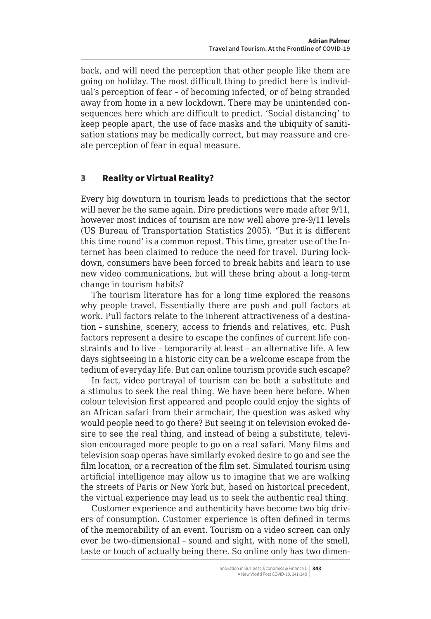<span id="page-2-0"></span>back, and will need the perception that other people like them are going on holiday. The most difficult thing to predict here is individual's perception of fear – of becoming infected, or of being stranded away from home in a new lockdown. There may be unintended consequences here which are difficult to predict. 'Social distancing' to keep people apart, the use of face masks and the ubiquity of sanitisation stations may be medically correct, but may reassure and create perception of fear in equal measure.

#### 3 Reality or Virtual Reality?

Every big downturn in tourism leads to predictions that the sector will never be the same again. Dire predictions were made after 9/11, however most indices of tourism are now well above pre-9/11 levels (US Bureau of Transportation Statistics 2005). "But it is different this time round' is a common repost. This time, greater use of the Internet has been claimed to reduce the need for travel. During lockdown, consumers have been forced to break habits and learn to use new video communications, but will these bring about a long-term change in tourism habits?

The tourism literature has for a long time explored the reasons why people travel. Essentially there are push and pull factors at work. Pull factors relate to the inherent attractiveness of a destination – sunshine, scenery, access to friends and relatives, etc. Push factors represent a desire to escape the confines of current life constraints and to live – temporarily at least – an alternative life. A few days sightseeing in a historic city can be a welcome escape from the tedium of everyday life. But can online tourism provide such escape?

In fact, video portrayal of tourism can be both a substitute and a stimulus to seek the real thing. We have been here before. When colour television first appeared and people could enjoy the sights of an African safari from their armchair, the question was asked why would people need to go there? But seeing it on television evoked desire to see the real thing, and instead of being a substitute, television encouraged more people to go on a real safari. Many films and television soap operas have similarly evoked desire to go and see the film location, or a recreation of the film set. Simulated tourism using artificial intelligence may allow us to imagine that we are walking the streets of Paris or New York but, based on historical precedent, the virtual experience may lead us to seek the authentic real thing.

Customer experience and authenticity have become two big drivers of consumption. Customer experience is often defined in terms of the memorability of an event. Tourism on a video screen can only ever be two-dimensional – sound and sight, with none of the smell, taste or touch of actually being there. So online only has two dimen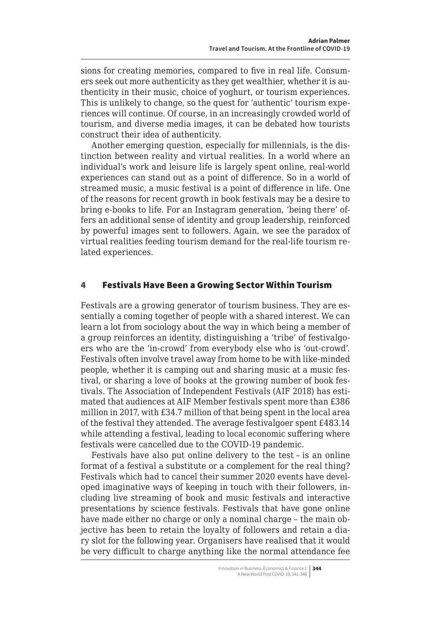<span id="page-3-0"></span>sions for creating memories, compared to five in real life. Consumers seek out more authenticity as they get wealthier, whether it is authenticity in their music, choice of yoghurt, or tourism experiences. This is unlikely to change, so the quest for 'authentic' tourism experiences will continue. Of course, in an increasingly crowded world of tourism, and diverse media images, it can be debated how tourists construct their idea of authenticity.

Another emerging question, especially for millennials, is the distinction between reality and virtual realities. In a world where an individual's work and leisure life is largely spent online, real-world experiences can stand out as a point of difference. So in a world of streamed music, a music festival is a point of difference in life. One of the reasons for recent growth in book festivals may be a desire to bring e-books to life. For an Instagram generation, 'being there' offers an additional sense of identity and group leadership, reinforced by powerful images sent to followers. Again, we see the paradox of virtual realities feeding tourism demand for the real-life tourism related experiences.

### 4 Festivals Have Been a Growing Sector Within Tourism

Festivals are a growing generator of tourism business. They are essentially a coming together of people with a shared interest. We can learn a lot from sociology about the way in which being a member of a group reinforces an identity, distinguishing a 'tribe' of festivalgoers who are the 'in-crowd' from everybody else who is 'out-crowd'. Festivals often involve travel away from home to be with like-minded people, whether it is camping out and sharing music at a music festival, or sharing a love of books at the growing number of book festivals. The Association of Independent Festivals (AIF 2018) has estimated that audiences at AIF Member festivals spent more than £386 million in 2017, with £34.7 million of that being spent in the local area of the festival they attended. The average festivalgoer spent £483.14 while attending a festival, leading to local economic suffering where festivals were cancelled due to the COVID-19 pandemic.

Festivals have also put online delivery to the test – is an online format of a festival a substitute or a complement for the real thing? Festivals which had to cancel their summer 2020 events have developed imaginative ways of keeping in touch with their followers, including live streaming of book and music festivals and interactive presentations by science festivals. Festivals that have gone online have made either no charge or only a nominal charge – the main objective has been to retain the loyalty of followers and retain a diary slot for the following year. Organisers have realised that it would be very difficult to charge anything like the normal attendance fee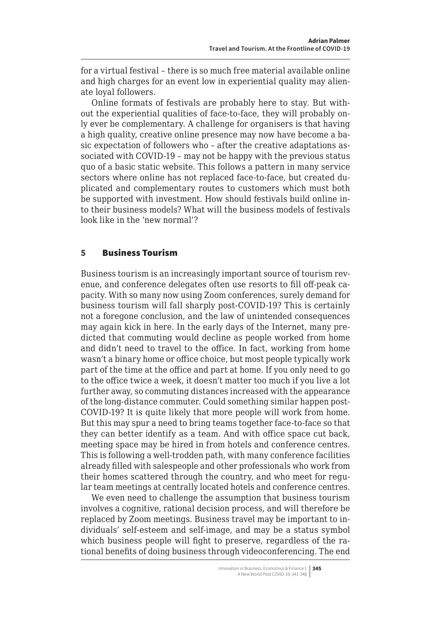<span id="page-4-0"></span>for a virtual festival – there is so much free material available online and high charges for an event low in experiential quality may alienate loyal followers.

Online formats of festivals are probably here to stay. But without the experiential qualities of face-to-face, they will probably only ever be complementary. A challenge for organisers is that having a high quality, creative online presence may now have become a basic expectation of followers who – after the creative adaptations associated with COVID-19 – may not be happy with the previous status quo of a basic static website. This follows a pattern in many service sectors where online has not replaced face-to-face, but created duplicated and complementary routes to customers which must both be supported with investment. How should festivals build online into their business models? What will the business models of festivals look like in the 'new normal'?

### 5 Business Tourism

Business tourism is an increasingly important source of tourism revenue, and conference delegates often use resorts to fill off-peak capacity. With so many now using Zoom conferences, surely demand for business tourism will fall sharply post-COVID-19? This is certainly not a foregone conclusion, and the law of unintended consequences may again kick in here. In the early days of the Internet, many predicted that commuting would decline as people worked from home and didn't need to travel to the office. In fact, working from home wasn't a binary home or office choice, but most people typically work part of the time at the office and part at home. If you only need to go to the office twice a week, it doesn't matter too much if you live a lot further away, so commuting distances increased with the appearance of the long-distance commuter. Could something similar happen post-COVID-19? It is quite likely that more people will work from home. But this may spur a need to bring teams together face-to-face so that they can better identify as a team. And with office space cut back, meeting space may be hired in from hotels and conference centres. This is following a well-trodden path, with many conference facilities already filled with salespeople and other professionals who work from their homes scattered through the country, and who meet for regular team meetings at centrally located hotels and conference centres.

We even need to challenge the assumption that business tourism involves a cognitive, rational decision process, and will therefore be replaced by Zoom meetings. Business travel may be important to individuals' self-esteem and self-image, and may be a status symbol which business people will fight to preserve, regardless of the rational benefits of doing business through videoconferencing. The end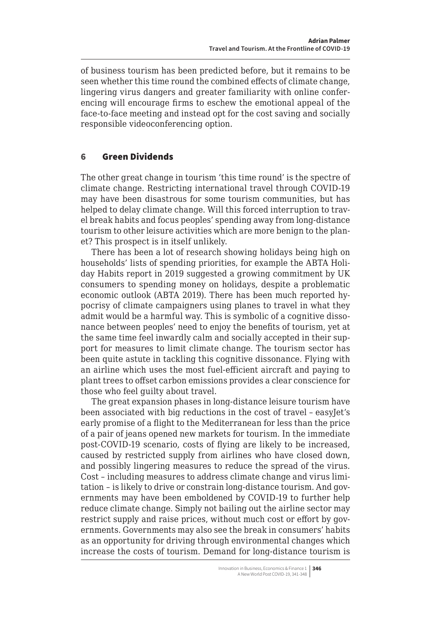<span id="page-5-0"></span>of business tourism has been predicted before, but it remains to be seen whether this time round the combined effects of climate change, lingering virus dangers and greater familiarity with online conferencing will encourage firms to eschew the emotional appeal of the face-to-face meeting and instead opt for the cost saving and socially responsible videoconferencing option.

#### 6 Green Dividends

The other great change in tourism 'this time round' is the spectre of climate change. Restricting international travel through COVID-19 may have been disastrous for some tourism communities, but has helped to delay climate change. Will this forced interruption to travel break habits and focus peoples' spending away from long-distance tourism to other leisure activities which are more benign to the planet? This prospect is in itself unlikely.

There has been a lot of research showing holidays being high on households' lists of spending priorities, for example the ABTA Holiday Habits report in 2019 suggested a growing commitment by UK consumers to spending money on holidays, despite a problematic economic outlook (ABTA 2019). There has been much reported hypocrisy of climate campaigners using planes to travel in what they admit would be a harmful way. This is symbolic of a cognitive dissonance between peoples' need to enjoy the benefits of tourism, yet at the same time feel inwardly calm and socially accepted in their support for measures to limit climate change. The tourism sector has been quite astute in tackling this cognitive dissonance. Flying with an airline which uses the most fuel-efficient aircraft and paying to plant trees to offset carbon emissions provides a clear conscience for those who feel guilty about travel.

The great expansion phases in long-distance leisure tourism have been associated with big reductions in the cost of travel – easyJet's early promise of a flight to the Mediterranean for less than the price of a pair of jeans opened new markets for tourism. In the immediate post-COVID-19 scenario, costs of flying are likely to be increased, caused by restricted supply from airlines who have closed down, and possibly lingering measures to reduce the spread of the virus. Cost – including measures to address climate change and virus limitation – is likely to drive or constrain long-distance tourism. And governments may have been emboldened by COVID-19 to further help reduce climate change. Simply not bailing out the airline sector may restrict supply and raise prices, without much cost or effort by governments. Governments may also see the break in consumers' habits as an opportunity for driving through environmental changes which increase the costs of tourism. Demand for long-distance tourism is